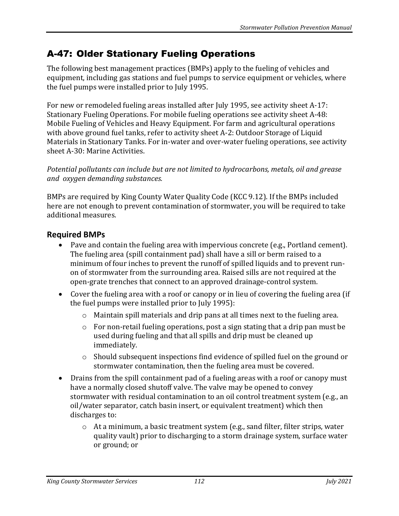# A-47: Older Stationary Fueling Operations

The following best management practices (BMPs) apply to the fueling of vehicles and equipment, including gas stations and fuel pumps to service equipment or vehicles, where the fuel pumps were installed prior to July 1995.

For new or remodeled fueling areas installed after July 1995, see activity sheet A-17: Stationary Fueling Operations. For mobile fueling operations see activity sheet A-48: Mobile Fueling of Vehicles and Heavy Equipment. For farm and agricultural operations with above ground fuel tanks, refer to activity sheet A-2: Outdoor Storage of Liquid Materials in Stationary Tanks. For in-water and over-water fueling operations, see activity sheet A-30: Marine Activities.

*Potential pollutants can include but are not limited to hydrocarbons, metals, oil and grease and oxygen demanding substances.*

BMPs are required by King County Water Quality Code (KCC 9.12). If the BMPs included here are not enough to prevent contamination of stormwater, you will be required to take additional measures.

## **Required BMPs**

- Pave and contain the fueling area with impervious concrete (e.g., Portland cement). The fueling area (spill containment pad) shall have a sill or berm raised to a minimum of four inches to prevent the runoff of spilled liquids and to prevent runon of stormwater from the surrounding area. Raised sills are not required at the open-grate trenches that connect to an approved drainage-control system.
- Cover the fueling area with a roof or canopy or in lieu of covering the fueling area (if the fuel pumps were installed prior to July 1995):
	- o Maintain spill materials and drip pans at all times next to the fueling area.
	- o For non-retail fueling operations, post a sign stating that a drip pan must be used during fueling and that all spills and drip must be cleaned up immediately.
	- o Should subsequent inspections find evidence of spilled fuel on the ground or stormwater contamination, then the fueling area must be covered.
- Drains from the spill containment pad of a fueling areas with a roof or canopy must have a normally closed shutoff valve. The valve may be opened to convey stormwater with residual contamination to an oil control treatment system (e.g., an oil/water separator, catch basin insert, or equivalent treatment) which then discharges to:
	- o At a minimum, a basic treatment system (e.g., sand filter, filter strips, water quality vault) prior to discharging to a storm drainage system, surface water or ground; or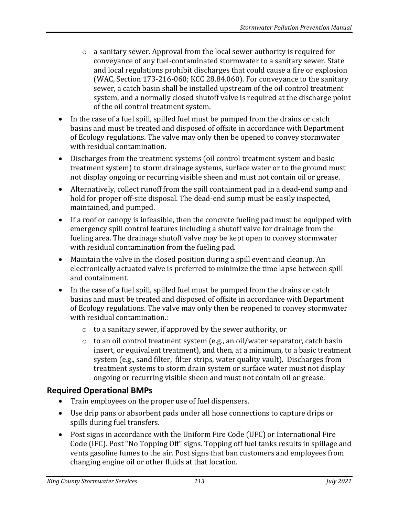- $\circ$  a sanitary sewer. Approval from the local sewer authority is required for conveyance of any fuel-contaminated stormwater to a sanitary sewer. State and local regulations prohibit discharges that could cause a fire or explosion (WAC, Section 173-216-060; KCC 28.84.060). For conveyance to the sanitary sewer, a catch basin shall be installed upstream of the oil control treatment system, and a normally closed shutoff valve is required at the discharge point of the oil control treatment system.
- In the case of a fuel spill, spilled fuel must be pumped from the drains or catch basins and must be treated and disposed of offsite in accordance with Department of Ecology regulations. The valve may only then be opened to convey stormwater with residual contamination.
- Discharges from the treatment systems (oil control treatment system and basic treatment system) to storm drainage systems, surface water or to the ground must not display ongoing or recurring visible sheen and must not contain oil or grease.
- Alternatively, collect runoff from the spill containment pad in a dead-end sump and hold for proper off-site disposal. The dead-end sump must be easily inspected, maintained, and pumped.
- If a roof or canopy is infeasible, then the concrete fueling pad must be equipped with emergency spill control features including a shutoff valve for drainage from the fueling area. The drainage shutoff valve may be kept open to convey stormwater with residual contamination from the fueling pad.
- Maintain the valve in the closed position during a spill event and cleanup. An electronically actuated valve is preferred to minimize the time lapse between spill and containment.
- In the case of a fuel spill, spilled fuel must be pumped from the drains or catch basins and must be treated and disposed of offsite in accordance with Department of Ecology regulations. The valve may only then be reopened to convey stormwater with residual contamination.:
	- o to a sanitary sewer, if approved by the sewer authority, or
	- $\circ$  to an oil control treatment system (e.g., an oil/water separator, catch basin insert, or equivalent treatment), and then, at a minimum, to a basic treatment system (e.g., sand filter, filter strips, water quality vault). Discharges from treatment systems to storm drain system or surface water must not display ongoing or recurring visible sheen and must not contain oil or grease.

## **Required Operational BMPs**

- Train employees on the proper use of fuel dispensers.
- Use drip pans or absorbent pads under all hose connections to capture drips or spills during fuel transfers.
- Post signs in accordance with the Uniform Fire Code (UFC) or International Fire Code (IFC). Post "No Topping Off" signs. Topping off fuel tanks results in spillage and vents gasoline fumes to the air. Post signs that ban customers and employees from changing engine oil or other fluids at that location.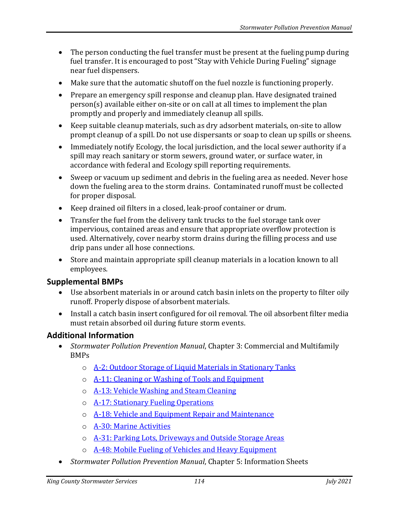- The person conducting the fuel transfer must be present at the fueling pump during fuel transfer. It is encouraged to post "Stay with Vehicle During Fueling" signage near fuel dispensers.
- Make sure that the automatic shutoff on the fuel nozzle is functioning properly.
- Prepare an emergency spill response and cleanup plan. Have designated trained person(s) available either on-site or on call at all times to implement the plan promptly and properly and immediately cleanup all spills.
- Keep suitable cleanup materials, such as dry adsorbent materials, on-site to allow prompt cleanup of a spill. Do not use dispersants or soap to clean up spills or sheens.
- Immediately notify Ecology, the local jurisdiction, and the local sewer authority if a spill may reach sanitary or storm sewers, ground water, or surface water, in accordance with federal and Ecology spill reporting requirements.
- Sweep or vacuum up sediment and debris in the fueling area as needed. Never hose down the fueling area to the storm drains. Contaminated runoff must be collected for proper disposal.
- Keep drained oil filters in a closed, leak-proof container or drum.
- Transfer the fuel from the delivery tank trucks to the fuel storage tank over impervious, contained areas and ensure that appropriate overflow protection is used. Alternatively, cover nearby storm drains during the filling process and use drip pans under all hose connections.
- Store and maintain appropriate spill cleanup materials in a location known to all employees.

## **Supplemental BMPs**

- Use absorbent materials in or around catch basin inlets on the property to filter oily runoff. Properly dispose of absorbent materials.
- Install a catch basin insert configured for oil removal. The oil absorbent filter media must retain absorbed oil during future storm events.

## **Additional Information**

- *Stormwater Pollution Prevention Manual*, Chapter 3: Commercial and Multifamily BMPs
	- o [A-2: Outdoor Storage of Liquid Materials in Stationary Tanks](https://your.kingcounty.gov/dnrp/library/water-and-land/stormwater/stormwater-pollution-prevention-manual/a02-jul21.pdf)
	- o [A-11: Cleaning or Washing of Tools and Equipment](https://your.kingcounty.gov/dnrp/library/water-and-land/stormwater/stormwater-pollution-prevention-manual/a11-jul21.pdf)
	- o **[A-13: Vehicle Washing and Steam Cleaning](https://your.kingcounty.gov/dnrp/library/water-and-land/stormwater/stormwater-pollution-prevention-manual/a13-jul21.pdf)**
	- o [A-17: Stationary Fueling Operations](https://your.kingcounty.gov/dnrp/library/water-and-land/stormwater/stormwater-pollution-prevention-manual/a17-jul21.pdf)
	- o [A-18: Vehicle and Equipment Repair and Maintenance](https://your.kingcounty.gov/dnrp/library/water-and-land/stormwater/stormwater-pollution-prevention-manual/a18-jul21.pdf)
	- o [A-30: Marine Activities](https://your.kingcounty.gov/dnrp/library/water-and-land/stormwater/stormwater-pollution-prevention-manual/a30-jul21.pdf)
	- o [A-31: Parking Lots, Driveways and Outside Storage Areas](https://your.kingcounty.gov/dnrp/library/water-and-land/stormwater/stormwater-pollution-prevention-manual/a31-jul21.pdf)
	- o [A-48: Mobile Fueling of Vehicles and Heavy Equipment](https://your.kingcounty.gov/dnrp/library/water-and-land/stormwater/stormwater-pollution-prevention-manual/a48-jul21.pdf)
- *Stormwater Pollution Prevention Manual*, Chapter 5: Information Sheets